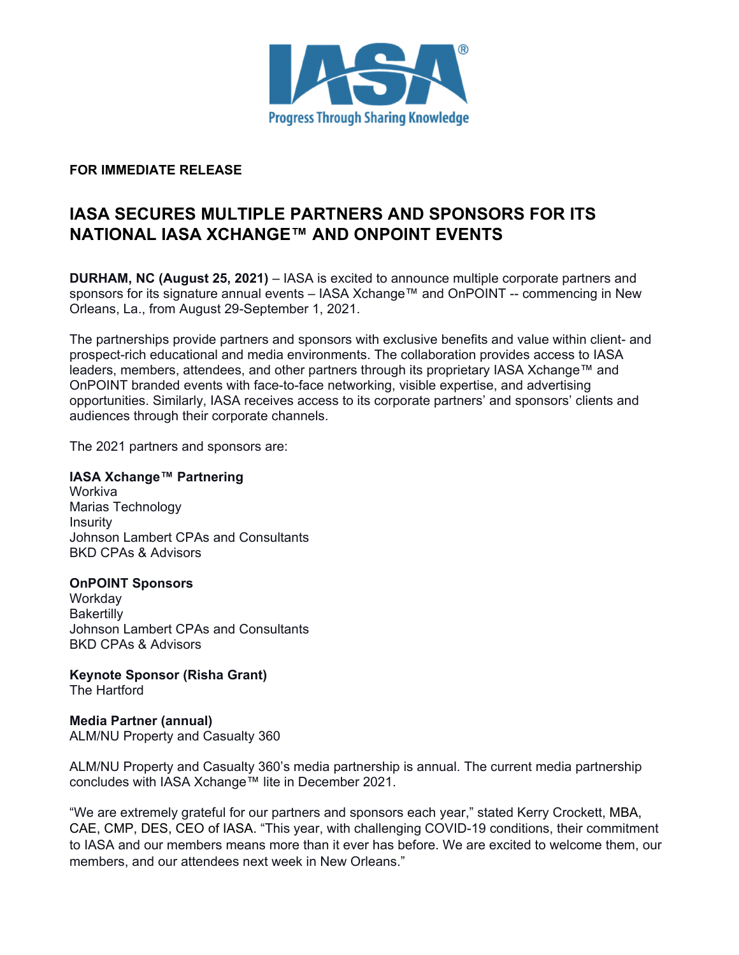

## **FOR IMMEDIATE RELEASE**

# **IASA SECURES MULTIPLE PARTNERS AND SPONSORS FOR ITS NATIONAL IASA XCHANGE™ AND ONPOINT EVENTS**

**DURHAM, NC (August 25, 2021)** – IASA is excited to announce multiple corporate partners and sponsors for its signature annual events – IASA Xchange™ and OnPOINT -- commencing in New Orleans, La., from August 29-September 1, 2021.

The partnerships provide partners and sponsors with exclusive benefits and value within client- and prospect-rich educational and media environments. The collaboration provides access to IASA leaders, members, attendees, and other partners through its proprietary IASA Xchange™ and OnPOINT branded events with face-to-face networking, visible expertise, and advertising opportunities. Similarly, IASA receives access to its corporate partners' and sponsors' clients and audiences through their corporate channels.

The 2021 partners and sponsors are:

## **IASA Xchange™ Partnering**

Workiva Marias Technology **Insurity** Johnson Lambert CPAs and Consultants BKD CPAs & Advisors

#### **OnPOINT Sponsors**

**Workday Bakertilly** Johnson Lambert CPAs and Consultants BKD CPAs & Advisors

**Keynote Sponsor (Risha Grant)**  The Hartford

**Media Partner (annual)**  ALM/NU Property and Casualty 360

ALM/NU Property and Casualty 360's media partnership is annual. The current media partnership concludes with IASA Xchange™ lite in December 2021.

"We are extremely grateful for our partners and sponsors each year," stated Kerry Crockett, MBA, CAE, CMP, DES, CEO of IASA. "This year, with challenging COVID-19 conditions, their commitment to IASA and our members means more than it ever has before. We are excited to welcome them, our members, and our attendees next week in New Orleans."